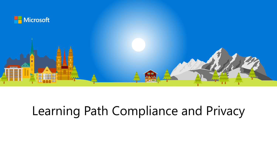

## Learning Path Compliance and Privacy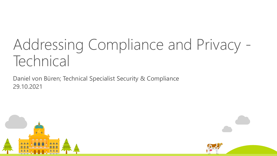# Addressing Compliance and Privacy - Technical

Daniel von Büren; Technical Specialist Security & Compliance 29.10.2021



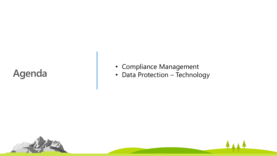### **Agenda**

- Compliance Management
- Data Protection Technology

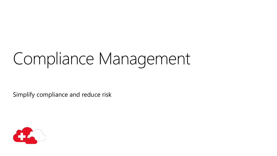# Compliance Management

Simplify compliance and reduce risk

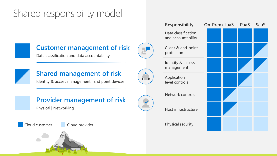### Shared responsibility model



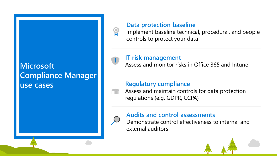### **Microsoft Compliance Manager use cases**



#### **Data protection baseline**

Implement baseline technical, procedural, and people controls to protect your data

### **IT risk management**

Assess and monitor risks in Office 365 and Intune

### **Regulatory compliance**

Assess and maintain controls for data protection **Inni** regulations (e.g. GDPR, CCPA)

#### **Audits and control assessments**

Demonstrate control effectiveness to internal and external auditors

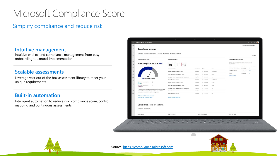### Microsoft Compliance Score

### Simplify compliance and reduce risk

#### **Intuitive management**

Intuitive end-to-end compliance management from easy onboarding to control implementation

#### **Scalable assessments**

Leverage vast out of the box assessment library to meet your unique requirements

#### **Built-in automation**

Intelligent automation to reduce risk: compliance score, control mapping and continuous assessments





Source: [https://compliance.microsoft.com](https://compliance.microsoft.com/)

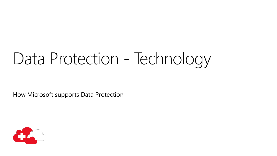# Data Protection - Technology

How Microsoft supports Data Protection

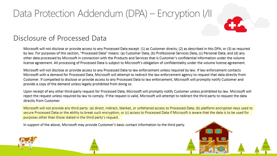## Data Protection Addendum (DPA) – Encryption I/II



### Disclosure of Processed Data

Microsoft will not disclose or provide access to any Processed Data except: (1) as Customer directs; (2) as described in this DPA; or (3) as required by law. For purposes of this section, "Processed Data" means: (a) Customer Data; (b) Professional Services Data; (c) Personal Data; and (d) any other data processed by Microsoft in connection with the Products and Services that is Customer's confidential information under the volume license agreement. All processing of Processed Data is subject to Microsoft's obligation of confidentiality under the volume license agreement.

Microsoft will not disclose or provide access to any Processed Data to law enforcement unless required by law. If law enforcement contacts Microsoft with a demand for Processed Data, Microsoft will attempt to redirect the law enforcement agency to request that data directly from Customer. If compelled to disclose or provide access to any Processed Data to law enforcement. Microsoft will promptly notify Customer and provide a copy of the demand unless legally prohibited from doing so.

Upon receipt of any other third-party request for Processed Data. Microsoft will promptly notify Customer unless prohibited by law. Microsoft will reject the request unless required by law to comply. If the request is valid, Microsoft will attempt to redirect the third party to request the data directly from Customer.

Microsoft will not provide any third party: (a) direct, indirect, blanket, or unfettered access to Processed Data; (b) platform encryption keys used to secure Processed Data or the ability to break such encryption; or (c) access to Processed Data if Microsoft is aware that the data is to be used for purposes other than those stated in the third party's request.

In support of the above, Microsoft may provide Customer's basic contact information to the third party.

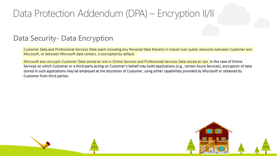### Data Protection Addendum (DPA) – Encryption II/II

### Data Security- Data Encryption

Customer Data and Professional Services Data (each including any Personal Data therein) in transit over public networks between Customer and Microsoft, or between Microsoft data centers, is encrypted by default.

Microsoft also encrypts Customer Data stored at rest in Online Services and Professional Services Data stored at rest. In the case of Online Services on which Customer or a third-party acting on Customer's behalf may build applications (e.g., certain Azure Services), encryption of data stored in such applications may be employed at the discretion of Customer, using either capabilities provided by Microsoft or obtained by Customer from third parties.

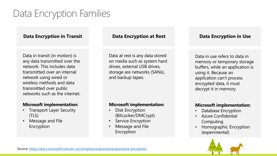## Data Encryption Families

#### **Data Encryption in Transit Data Encryption at Rest Data Encryption in Use**

Data in transit (in motion) is any data transmitted over the network. This includes data transmitted over an internal network using wired or wireless methods and data transmitted over public networks such as the internet.

#### **Microsoft implementation:**

- **Transport Layer Security** (TLS)
- Message and File Encryption

Data at rest is any data stored on media such as system hard drives, external USB drives, storage are networks (SANs), and backup tapes.

#### **Microsoft implementation:**

- Disk Encryption (BitLocker/DMCrypt)
- Service Encryption
- Message and File Encryption

Data in use refers to data in memory or temporary storage buffers, while an application is using it. Because an application can't process encrypted data, it must decrypt it in memory.

#### **Microsoft implementation:**

- Database Encryption
- Azure Confidential Computing
- Homographic Encryption (experimental)

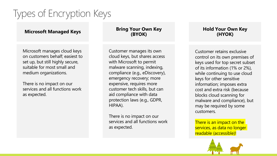## Types of Encryption Keys

Microsoft manages cloud keys on customers behalf; easiest to set up, but still highly secure, suitable for most small and medium organizations.

There is no impact on our services and all functions work as expected.

#### **Microsoft Managed Keys Bring Your Own Key (BYOK)**

Customer manages its own cloud keys, but shares access with Microsoft to permit malware scanning, indexing, compliance (e.g., eDiscovery), emergency recovery; more expensive, requires more customer tech skills, but can aid compliance with data protection laws (e.g., GDPR, HIPAA).

There is no impact on our services and all functions work as expected.

#### **Hold Your Own Key (HYOK)**

Customer retains exclusive control on its own premises of keys used for top secret subset of its information (1% or 2%), while continuing to use cloud keys for other sensitive information; imposes extra cost and extra risk (because blocks cloud scanning for malware and compliance), but may be required by some customers.

There is an impact on the services, as data no longer readable (accessible)!

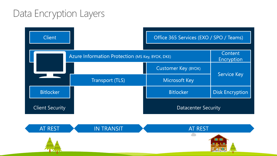### Data Encryption Layers

| <b>Client</b>          |                                                  | Office 365 Services (EXO / SPO / Teams) |                        |
|------------------------|--------------------------------------------------|-----------------------------------------|------------------------|
|                        | Azure Information Protection (MS Key, BYOK, DKE) |                                         | Content<br>Encryption  |
|                        |                                                  | Customer Key (BYOK)                     | <b>Service Key</b>     |
|                        | Transport (TLS)                                  | <b>Microsoft Key</b>                    |                        |
| <b>Bitlocker</b>       |                                                  | <b>Bitlocker</b>                        | <b>Disk Encryption</b> |
| <b>Client Security</b> |                                                  | <b>Datacenter Security</b>              |                        |

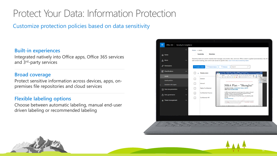### Protect Your Data: Information Protection

Customize protection policies based on data sensitivity

#### **Built-in experiences**

Integrated natively into Office apps, Office 365 services and 3rd-party services

#### **Broad coverage**

Protect sensitive information across devices, apps, onpremises file repositories and cloud services

#### **Flexible labeling options**

Choose between automatic labeling, manual end-user driven labeling or recommended labeling



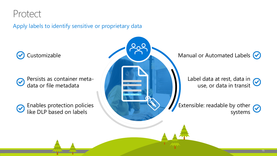### Protect

Apply labels to identify sensitive or proprietary data



Persists as container meta- $\bm{\mathcal{C}}$ data or file metadata

Enables protection policies ⊘ like DLP based on labels

Customizable **Manual or Automated Labels Customizable** Manual or Automated Labels Customizable

Label data at rest, data in use, or data in transit

Extensible: readable by other  $\bigotimes$ systems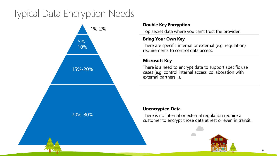### Typical Data Encryption Needs



#### **Double Key Encryption**

Top secret data where you can't trust the provider.

#### **Bring Your Own Key**

There are specific internal or external (e.g. regulation) requirements to control data access.

#### **Microsoft Key**

There is a need to encrypt data to support specific use cases (e.g. control internal access, collaboration with external partners…).

#### **Unencrypted Data**

There is no internal or external regulation require a customer to encrypt those data at rest or even in transit.

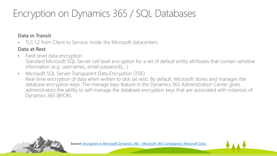## Encryption on Dynamics 365 / SQL Databases

**Data in Transit**

• TLS 1.2 from Client to Service; inside the Microsoft datacenters

### **Data at Rest**

- Field-level data encryption Standard Microsoft SQL Server cell level encryption for a set of default entity attributes that contain sensitive information (e.g. usernames, email passwords,…)
- Microsoft SQL Server Transparent Data Encryption (TDE) Real-time encryption of data when written to disk (at rest). By default, Microsoft stores and manages the database encryption keys. The manage keys feature in the Dynamics 365 Administration Center gives administrators the ability to self-manage the database encryption keys that are associated with instances of Dynamics 365 (BYOK).



17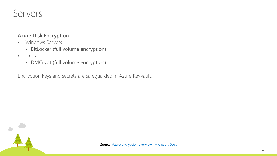### Servers

#### **Azure Disk Encryption**

- Windows Servers
	- BitLocker (full volume encryption)
- Linux
	- DMCrypt (full volume encryption)

Encryption keys and secrets are safeguarded in Azure KeyVault.